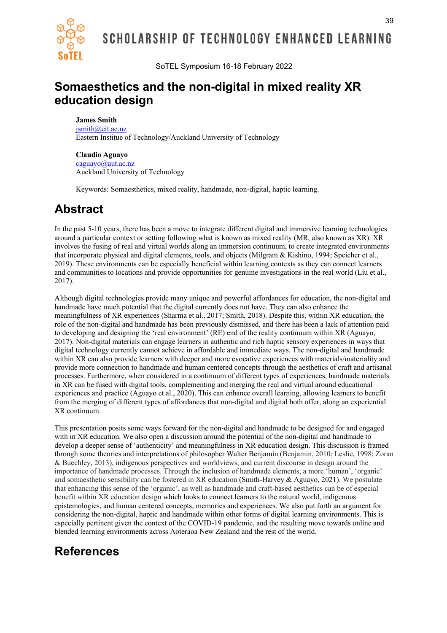

SCHOLARSHIP OF TECHNOLOGY ENHANCED LEARNING

SoTEL Symposium 16-18 February 2022

### **Somaesthetics and the non-digital in mixed reality XR education design**

#### **James Smith**

jsmith@eit.ac.nz Eastern Institue of Technology/Auckland University of Technology

#### **Claudio Aguayo**

caguayo@aut.ac.nz Auckland University of Technology

Keywords: Somaesthetics, mixed reality, handmade, non-digital, haptic learning.

## **Abstract**

In the past 5-10 years, there has been a move to integrate different digital and immersive learning technologies around a particular context or setting following what is known as mixed reality (MR, also known as XR). XR involves the fusing of real and virtual worlds along an immersion continuum, to create integrated environments that incorporate physical and digital elements, tools, and objects (Milgram & Kishino, 1994; Speicher et al., 2019). These environments can be especially beneficial within learning contexts as they can connect learners and communities to locations and provide opportunities for genuine investigations in the real world (Liu et al., 2017).

Although digital technologies provide many unique and powerful affordances for education, the non-digital and handmade have much potential that the digital currently does not have. They can also enhance the meaningfulness of XR experiences (Sharma et al., 2017; Smith, 2018). Despite this, within XR education, the role of the non-digital and handmade has been previously dismissed, and there has been a lack of attention paid to developing and designing the 'real environment' (RE) end of the reality continuum within XR (Aguayo, 2017). Non-digital materials can engage learners in authentic and rich haptic sensory experiences in ways that digital technology currently cannot achieve in affordable and immediate ways. The non-digital and handmade within XR can also provide learners with deeper and more evocative experiences with materials/materiality and provide more connection to handmade and human centered concepts through the aesthetics of craft and artisanal processes. Furthermore, when considered in a continuum of different types of experiences, handmade materials in XR can be fused with digital tools, complementing and merging the real and virtual around educational experiences and practice (Aguayo et al., 2020). This can enhance overall learning, allowing learners to benefit from the merging of different types of affordances that non-digital and digital both offer, along an experiential XR continuum.

This presentation posits some ways forward for the non-digital and handmade to be designed for and engaged with in XR education. We also open a discussion around the potential of the non-digital and handmade to develop a deeper sense of 'authenticity' and meaningfulness in XR education design. This discussion is framed through some theories and interpretations of philosopher Walter Benjamin (Benjamin, 2010; Leslie, 1998; Zoran & Buechley, 2013), indigenous perspectives and worldviews, and current discourse in design around the importance of handmade processes. Through the inclusion of handmade elements, a more 'human', 'organic' and somaesthetic sensibility can be fostered in XR education (Smith-Harvey & Aguayo, 2021). We postulate that enhancing this sense of the 'organic', as well as handmade and craft-based aesthetics can be of especial benefit within XR education design which looks to connect learners to the natural world, indigenous epistemologies, and human centered concepts, memories and experiences. We also put forth an argument for considering the non-digital, haptic and handmade within other forms of digital learning environments. This is especially pertinent given the context of the COVID-19 pandemic, and the resulting move towards online and blended learning environments across Aoteraoa New Zealand and the rest of the world.

## **References**